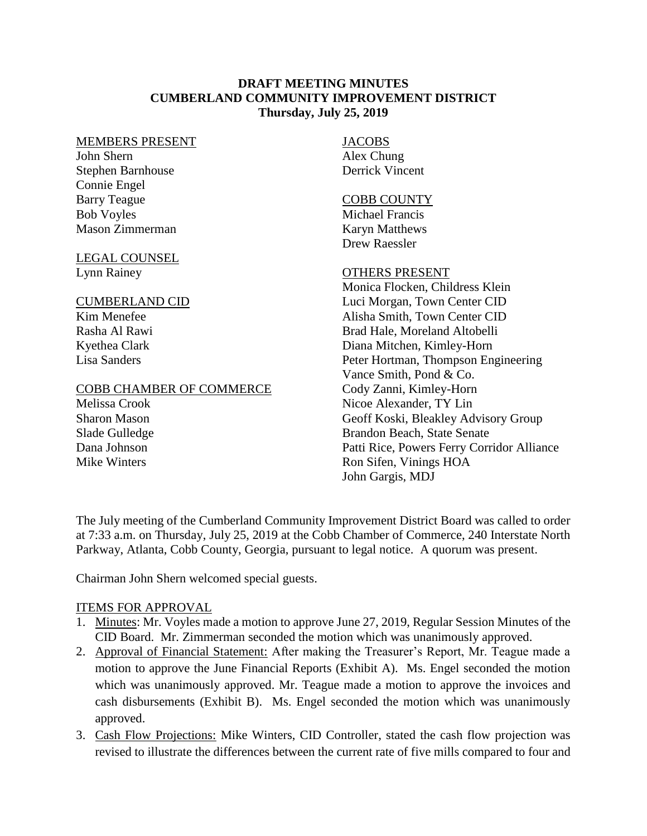### **DRAFT MEETING MINUTES CUMBERLAND COMMUNITY IMPROVEMENT DISTRICT Thursday, July 25, 2019**

#### MEMBERS PRESENT

John Shern Stephen Barnhouse Connie Engel Barry Teague Bob Voyles Mason Zimmerman

## LEGAL COUNSEL

Lynn Rainey

#### CUMBERLAND CID

Kim Menefee Rasha Al Rawi Kyethea Clark Lisa Sanders

### COBB CHAMBER OF COMMERCE

Melissa Crook Sharon Mason Slade Gulledge Dana Johnson Mike Winters

## JACOBS

Alex Chung Derrick Vincent

#### COBB COUNTY

Michael Francis Karyn Matthews Drew Raessler

### OTHERS PRESENT

Monica Flocken, Childress Klein Luci Morgan, Town Center CID Alisha Smith, Town Center CID Brad Hale, Moreland Altobelli Diana Mitchen, Kimley-Horn Peter Hortman, Thompson Engineering Vance Smith, Pond & Co. Cody Zanni, Kimley-Horn Nicoe Alexander, TY Lin Geoff Koski, Bleakley Advisory Group Brandon Beach, State Senate Patti Rice, Powers Ferry Corridor Alliance Ron Sifen, Vinings HOA John Gargis, MDJ

The July meeting of the Cumberland Community Improvement District Board was called to order at 7:33 a.m. on Thursday, July 25, 2019 at the Cobb Chamber of Commerce, 240 Interstate North Parkway, Atlanta, Cobb County, Georgia, pursuant to legal notice. A quorum was present.

Chairman John Shern welcomed special guests.

### ITEMS FOR APPROVAL

- 1. Minutes: Mr. Voyles made a motion to approve June 27, 2019, Regular Session Minutes of the CID Board. Mr. Zimmerman seconded the motion which was unanimously approved.
- 2. Approval of Financial Statement: After making the Treasurer's Report, Mr. Teague made a motion to approve the June Financial Reports (Exhibit A). Ms. Engel seconded the motion which was unanimously approved. Mr. Teague made a motion to approve the invoices and cash disbursements (Exhibit B). Ms. Engel seconded the motion which was unanimously approved.
- 3. Cash Flow Projections: Mike Winters, CID Controller, stated the cash flow projection was revised to illustrate the differences between the current rate of five mills compared to four and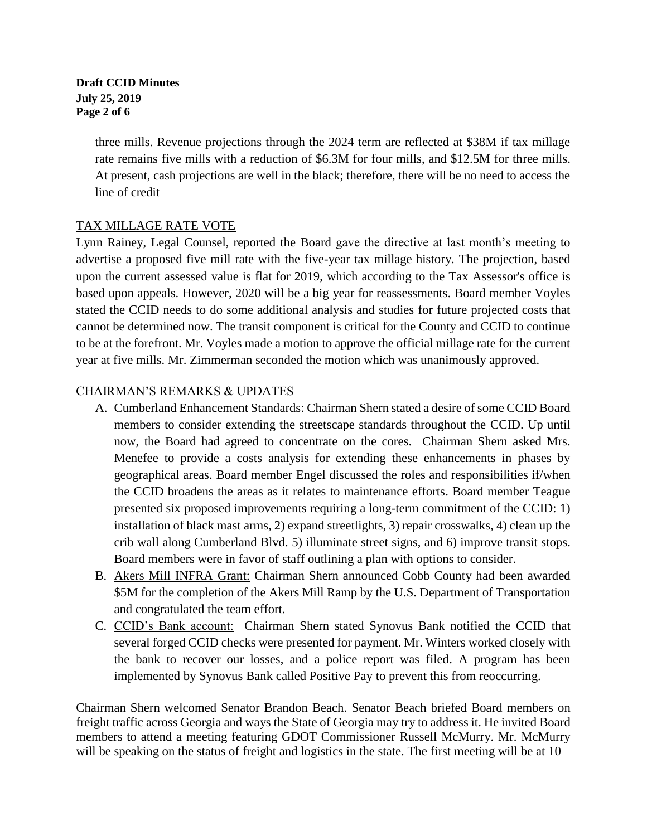#### **Draft CCID Minutes July 25, 2019 Page 2 of 6**

three mills. Revenue projections through the 2024 term are reflected at \$38M if tax millage rate remains five mills with a reduction of \$6.3M for four mills, and \$12.5M for three mills. At present, cash projections are well in the black; therefore, there will be no need to access the line of credit

## TAX MILLAGE RATE VOTE

Lynn Rainey, Legal Counsel, reported the Board gave the directive at last month's meeting to advertise a proposed five mill rate with the five-year tax millage history. The projection, based upon the current assessed value is flat for 2019, which according to the Tax Assessor's office is based upon appeals. However, 2020 will be a big year for reassessments. Board member Voyles stated the CCID needs to do some additional analysis and studies for future projected costs that cannot be determined now. The transit component is critical for the County and CCID to continue to be at the forefront. Mr. Voyles made a motion to approve the official millage rate for the current year at five mills. Mr. Zimmerman seconded the motion which was unanimously approved.

# CHAIRMAN'S REMARKS & UPDATES

- A. Cumberland Enhancement Standards: Chairman Shern stated a desire of some CCID Board members to consider extending the streetscape standards throughout the CCID. Up until now, the Board had agreed to concentrate on the cores. Chairman Shern asked Mrs. Menefee to provide a costs analysis for extending these enhancements in phases by geographical areas. Board member Engel discussed the roles and responsibilities if/when the CCID broadens the areas as it relates to maintenance efforts. Board member Teague presented six proposed improvements requiring a long-term commitment of the CCID: 1) installation of black mast arms, 2) expand streetlights, 3) repair crosswalks, 4) clean up the crib wall along Cumberland Blvd. 5) illuminate street signs, and 6) improve transit stops. Board members were in favor of staff outlining a plan with options to consider.
- B. Akers Mill INFRA Grant: Chairman Shern announced Cobb County had been awarded \$5M for the completion of the Akers Mill Ramp by the U.S. Department of Transportation and congratulated the team effort.
- C. CCID's Bank account: Chairman Shern stated Synovus Bank notified the CCID that several forged CCID checks were presented for payment. Mr. Winters worked closely with the bank to recover our losses, and a police report was filed. A program has been implemented by Synovus Bank called Positive Pay to prevent this from reoccurring.

Chairman Shern welcomed Senator Brandon Beach. Senator Beach briefed Board members on freight traffic across Georgia and ways the State of Georgia may try to address it. He invited Board members to attend a meeting featuring GDOT Commissioner Russell McMurry. Mr. McMurry will be speaking on the status of freight and logistics in the state. The first meeting will be at 10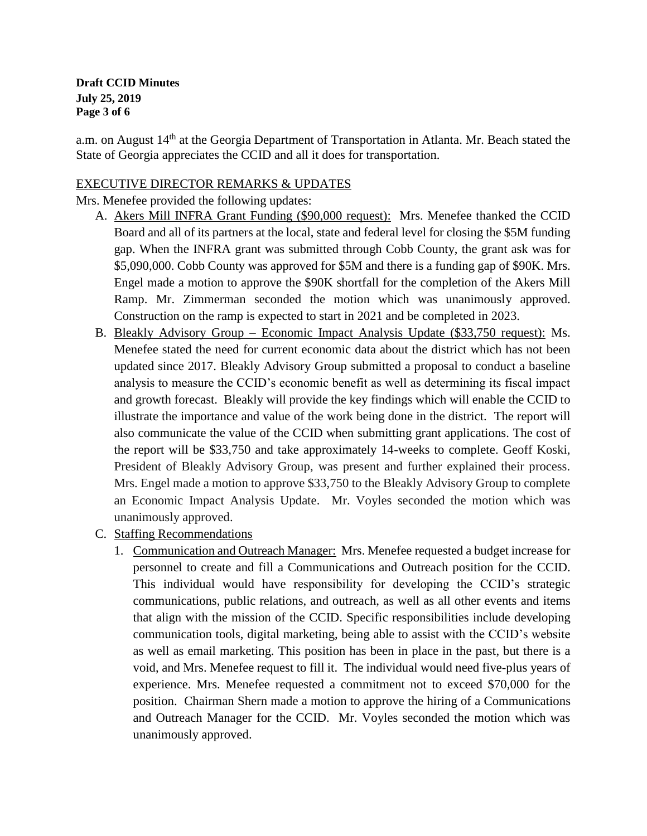**Draft CCID Minutes July 25, 2019 Page 3 of 6**

a.m. on August 14<sup>th</sup> at the Georgia Department of Transportation in Atlanta. Mr. Beach stated the State of Georgia appreciates the CCID and all it does for transportation.

## EXECUTIVE DIRECTOR REMARKS & UPDATES

Mrs. Menefee provided the following updates:

- A. Akers Mill INFRA Grant Funding (\$90,000 request): Mrs. Menefee thanked the CCID Board and all of its partners at the local, state and federal level for closing the \$5M funding gap. When the INFRA grant was submitted through Cobb County, the grant ask was for \$5,090,000. Cobb County was approved for \$5M and there is a funding gap of \$90K. Mrs. Engel made a motion to approve the \$90K shortfall for the completion of the Akers Mill Ramp. Mr. Zimmerman seconded the motion which was unanimously approved. Construction on the ramp is expected to start in 2021 and be completed in 2023.
- B. Bleakly Advisory Group Economic Impact Analysis Update (\$33,750 request): Ms. Menefee stated the need for current economic data about the district which has not been updated since 2017. Bleakly Advisory Group submitted a proposal to conduct a baseline analysis to measure the CCID's economic benefit as well as determining its fiscal impact and growth forecast. Bleakly will provide the key findings which will enable the CCID to illustrate the importance and value of the work being done in the district. The report will also communicate the value of the CCID when submitting grant applications. The cost of the report will be \$33,750 and take approximately 14-weeks to complete. Geoff Koski, President of Bleakly Advisory Group, was present and further explained their process. Mrs. Engel made a motion to approve \$33,750 to the Bleakly Advisory Group to complete an Economic Impact Analysis Update. Mr. Voyles seconded the motion which was unanimously approved.
- C. Staffing Recommendations
	- 1. Communication and Outreach Manager: Mrs. Menefee requested a budget increase for personnel to create and fill a Communications and Outreach position for the CCID. This individual would have responsibility for developing the CCID's strategic communications, public relations, and outreach, as well as all other events and items that align with the mission of the CCID. Specific responsibilities include developing communication tools, digital marketing, being able to assist with the CCID's website as well as email marketing. This position has been in place in the past, but there is a void, and Mrs. Menefee request to fill it. The individual would need five-plus years of experience. Mrs. Menefee requested a commitment not to exceed \$70,000 for the position. Chairman Shern made a motion to approve the hiring of a Communications and Outreach Manager for the CCID. Mr. Voyles seconded the motion which was unanimously approved.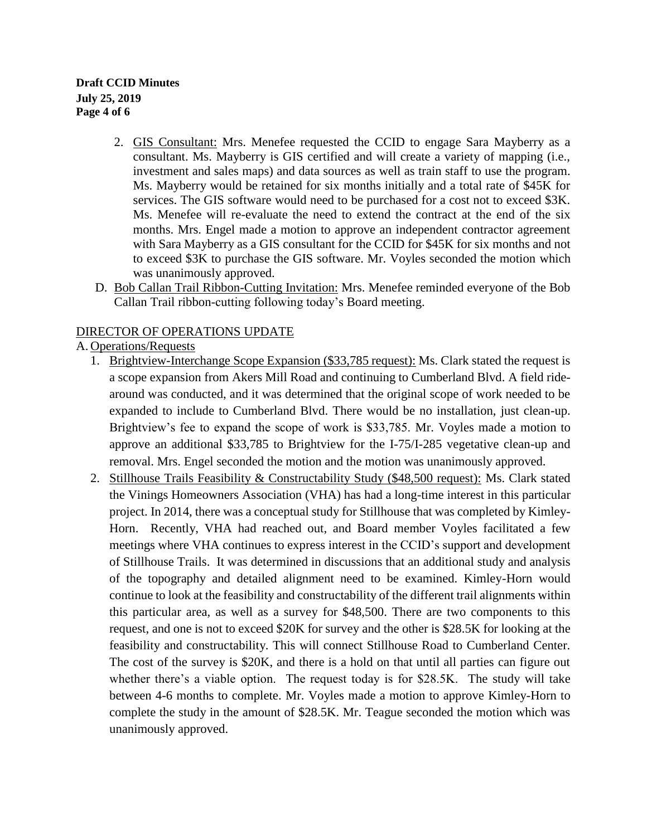**Draft CCID Minutes July 25, 2019 Page 4 of 6**

- 2. GIS Consultant: Mrs. Menefee requested the CCID to engage Sara Mayberry as a consultant. Ms. Mayberry is GIS certified and will create a variety of mapping (i.e., investment and sales maps) and data sources as well as train staff to use the program. Ms. Mayberry would be retained for six months initially and a total rate of \$45K for services. The GIS software would need to be purchased for a cost not to exceed \$3K. Ms. Menefee will re-evaluate the need to extend the contract at the end of the six months. Mrs. Engel made a motion to approve an independent contractor agreement with Sara Mayberry as a GIS consultant for the CCID for \$45K for six months and not to exceed \$3K to purchase the GIS software. Mr. Voyles seconded the motion which was unanimously approved.
- D. Bob Callan Trail Ribbon-Cutting Invitation: Mrs. Menefee reminded everyone of the Bob Callan Trail ribbon-cutting following today's Board meeting.

## DIRECTOR OF OPERATIONS UPDATE

A. Operations/Requests

- 1. Brightview-Interchange Scope Expansion (\$33,785 request): Ms. Clark stated the request is a scope expansion from Akers Mill Road and continuing to Cumberland Blvd. A field ridearound was conducted, and it was determined that the original scope of work needed to be expanded to include to Cumberland Blvd. There would be no installation, just clean-up. Brightview's fee to expand the scope of work is \$33,785. Mr. Voyles made a motion to approve an additional \$33,785 to Brightview for the I-75/I-285 vegetative clean-up and removal. Mrs. Engel seconded the motion and the motion was unanimously approved.
- 2. Stillhouse Trails Feasibility & Constructability Study (\$48,500 request): Ms. Clark stated the Vinings Homeowners Association (VHA) has had a long-time interest in this particular project. In 2014, there was a conceptual study for Stillhouse that was completed by Kimley-Horn. Recently, VHA had reached out, and Board member Voyles facilitated a few meetings where VHA continues to express interest in the CCID's support and development of Stillhouse Trails. It was determined in discussions that an additional study and analysis of the topography and detailed alignment need to be examined. Kimley-Horn would continue to look at the feasibility and constructability of the different trail alignments within this particular area, as well as a survey for \$48,500. There are two components to this request, and one is not to exceed \$20K for survey and the other is \$28.5K for looking at the feasibility and constructability. This will connect Stillhouse Road to Cumberland Center. The cost of the survey is \$20K, and there is a hold on that until all parties can figure out whether there's a viable option. The request today is for \$28.5K. The study will take between 4-6 months to complete. Mr. Voyles made a motion to approve Kimley-Horn to complete the study in the amount of \$28.5K. Mr. Teague seconded the motion which was unanimously approved.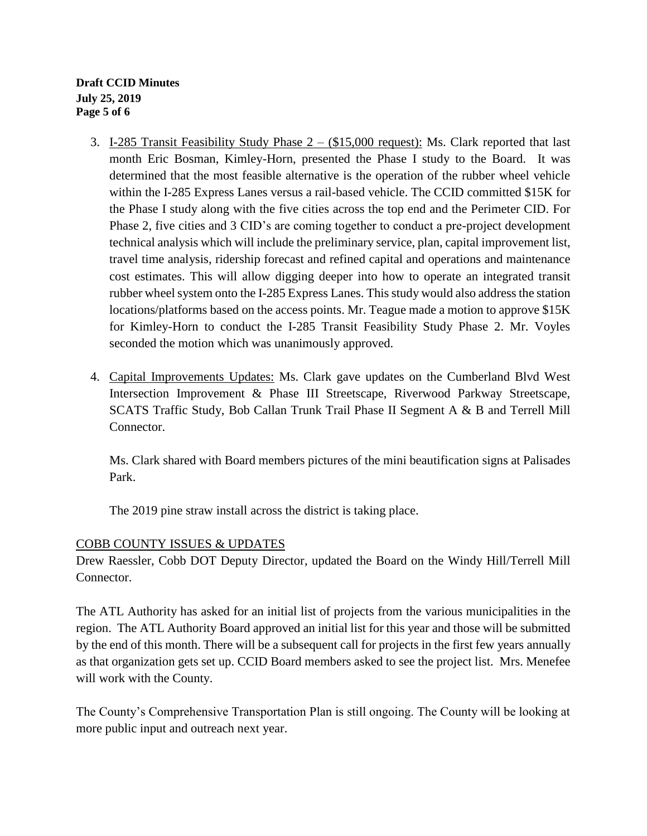**Draft CCID Minutes July 25, 2019 Page 5 of 6**

- 3. I-285 Transit Feasibility Study Phase 2 (\$15,000 request): Ms. Clark reported that last month Eric Bosman, Kimley-Horn, presented the Phase I study to the Board. It was determined that the most feasible alternative is the operation of the rubber wheel vehicle within the I-285 Express Lanes versus a rail-based vehicle. The CCID committed \$15K for the Phase I study along with the five cities across the top end and the Perimeter CID. For Phase 2, five cities and 3 CID's are coming together to conduct a pre-project development technical analysis which will include the preliminary service, plan, capital improvement list, travel time analysis, ridership forecast and refined capital and operations and maintenance cost estimates. This will allow digging deeper into how to operate an integrated transit rubber wheel system onto the I-285 Express Lanes. This study would also address the station locations/platforms based on the access points. Mr. Teague made a motion to approve \$15K for Kimley-Horn to conduct the I-285 Transit Feasibility Study Phase 2. Mr. Voyles seconded the motion which was unanimously approved.
- 4. Capital Improvements Updates: Ms. Clark gave updates on the Cumberland Blvd West Intersection Improvement & Phase III Streetscape, Riverwood Parkway Streetscape, SCATS Traffic Study, Bob Callan Trunk Trail Phase II Segment A & B and Terrell Mill Connector.

Ms. Clark shared with Board members pictures of the mini beautification signs at Palisades Park.

The 2019 pine straw install across the district is taking place.

## COBB COUNTY ISSUES & UPDATES

Drew Raessler, Cobb DOT Deputy Director, updated the Board on the Windy Hill/Terrell Mill Connector.

The ATL Authority has asked for an initial list of projects from the various municipalities in the region. The ATL Authority Board approved an initial list for this year and those will be submitted by the end of this month. There will be a subsequent call for projects in the first few years annually as that organization gets set up. CCID Board members asked to see the project list. Mrs. Menefee will work with the County.

The County's Comprehensive Transportation Plan is still ongoing. The County will be looking at more public input and outreach next year.